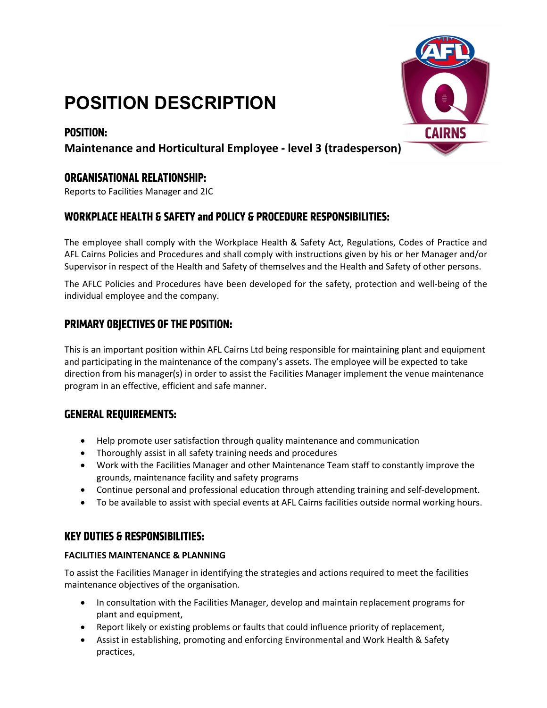# POSITION DESCRIPTION

# **POSITION:**



# Maintenance and Horticultural Employee - level 3 (tradesperson)

# **ORGANISATIONAL RELATIONSHIP:**

Reports to Facilities Manager and 2IC

# **WORKPLACE HEALTH & SAFETY and POLICY & PROCEDURE RESPONSIBILITIES:**

The employee shall comply with the Workplace Health & Safety Act, Regulations, Codes of Practice and AFL Cairns Policies and Procedures and shall comply with instructions given by his or her Manager and/or Supervisor in respect of the Health and Safety of themselves and the Health and Safety of other persons.

The AFLC Policies and Procedures have been developed for the safety, protection and well-being of the individual employee and the company.

## PRIMARY OBJECTIVES OF THE POSITION:

This is an important position within AFL Cairns Ltd being responsible for maintaining plant and equipment and participating in the maintenance of the company's assets. The employee will be expected to take direction from his manager(s) in order to assist the Facilities Manager implement the venue maintenance program in an effective, efficient and safe manner.

## **GENERAL REQUIREMENTS:**

- Help promote user satisfaction through quality maintenance and communication
- Thoroughly assist in all safety training needs and procedures
- Work with the Facilities Manager and other Maintenance Team staff to constantly improve the grounds, maintenance facility and safety programs
- Continue personal and professional education through attending training and self-development.
- To be available to assist with special events at AFL Cairns facilities outside normal working hours.

## **KEY DUTIES & RESPONSIBILITIES:**

## FACILITIES MAINTENANCE & PLANNING

To assist the Facilities Manager in identifying the strategies and actions required to meet the facilities maintenance objectives of the organisation.

- In consultation with the Facilities Manager, develop and maintain replacement programs for plant and equipment,
- Report likely or existing problems or faults that could influence priority of replacement,
- Assist in establishing, promoting and enforcing Environmental and Work Health & Safety practices,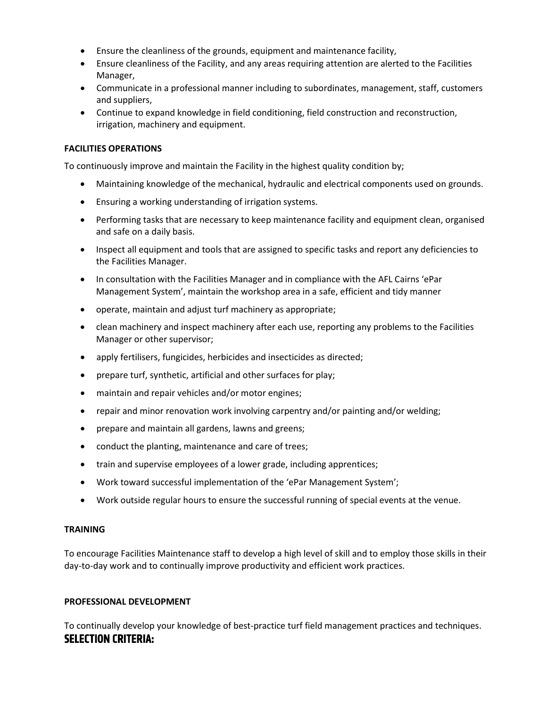- Ensure the cleanliness of the grounds, equipment and maintenance facility,
- Ensure cleanliness of the Facility, and any areas requiring attention are alerted to the Facilities Manager,
- Communicate in a professional manner including to subordinates, management, staff, customers and suppliers,
- Continue to expand knowledge in field conditioning, field construction and reconstruction, irrigation, machinery and equipment.

## FACILITIES OPERATIONS

To continuously improve and maintain the Facility in the highest quality condition by;

- Maintaining knowledge of the mechanical, hydraulic and electrical components used on grounds.
- Ensuring a working understanding of irrigation systems.
- Performing tasks that are necessary to keep maintenance facility and equipment clean, organised and safe on a daily basis.
- Inspect all equipment and tools that are assigned to specific tasks and report any deficiencies to the Facilities Manager.
- In consultation with the Facilities Manager and in compliance with the AFL Cairns 'ePar Management System', maintain the workshop area in a safe, efficient and tidy manner
- operate, maintain and adjust turf machinery as appropriate;
- clean machinery and inspect machinery after each use, reporting any problems to the Facilities Manager or other supervisor;
- apply fertilisers, fungicides, herbicides and insecticides as directed;
- prepare turf, synthetic, artificial and other surfaces for play;
- maintain and repair vehicles and/or motor engines;
- repair and minor renovation work involving carpentry and/or painting and/or welding;
- prepare and maintain all gardens, lawns and greens;
- conduct the planting, maintenance and care of trees;
- train and supervise employees of a lower grade, including apprentices;
- Work toward successful implementation of the 'ePar Management System';
- Work outside regular hours to ensure the successful running of special events at the venue.

#### TRAINING

To encourage Facilities Maintenance staff to develop a high level of skill and to employ those skills in their day-to-day work and to continually improve productivity and efficient work practices.

#### PROFESSIONAL DEVELOPMENT

To continually develop your knowledge of best-practice turf field management practices and techniques. **SELECTION CRITERIA:**